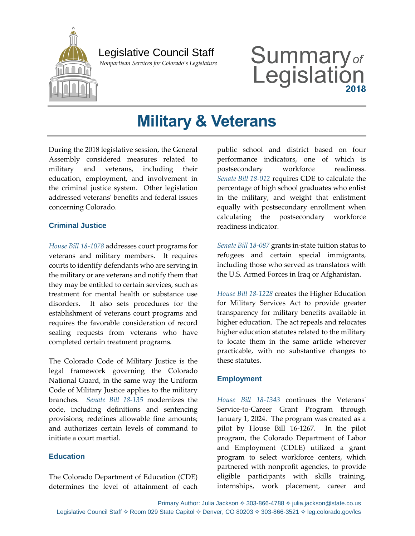

## Legislative Council Staff

 *Nonpartisan Services for Colorado's Legislature*

# Summary<sub>of</sub><br>Legislation

# **Military & Veterans**

During the 2018 legislative session, the General Assembly considered measures related to military and veterans, including their education, employment, and involvement in the criminal justice system. Other legislation addressed veterans' benefits and federal issues concerning Colorado.

#### **Criminal Justice**

*[House Bill 18-1078](http://leg.colorado.gov/bills/hb18-1078)* addresses court programs for veterans and military members. It requires courts to identify defendants who are serving in the military or are veterans and notify them that they may be entitled to certain services, such as treatment for mental health or substance use disorders. It also sets procedures for the establishment of veterans court programs and requires the favorable consideration of record sealing requests from veterans who have completed certain treatment programs.

The Colorado Code of Military Justice is the legal framework governing the Colorado National Guard, in the same way the Uniform Code of Military Justice applies to the military branches. *[Senate Bill 18-135](http://leg.colorado.gov/bills/sb18-135)* modernizes the code, including definitions and sentencing provisions; redefines allowable fine amounts; and authorizes certain levels of command to initiate a court martial.

#### **Education**

The Colorado Department of Education (CDE) determines the level of attainment of each

public school and district based on four performance indicators, one of which is postsecondary workforce readiness. *Senate Bill [18-012](http://leg.colorado.gov/bills/sb18-012)* requires CDE to calculate the percentage of high school graduates who enlist in the military, and weight that enlistment equally with postsecondary enrollment when calculating the postsecondary workforce readiness indicator.

*[Senate Bill 18-087](http://leg.colorado.gov/bills/sb18-087)* grants in-state tuition status to refugees and certain special immigrants, including those who served as translators with the U.S. Armed Forces in Iraq or Afghanistan.

*[House Bill 18-1228](http://leg.colorado.gov/bills/hb18-1228)* creates the Higher Education for Military Services Act to provide greater transparency for military benefits available in higher education. The act repeals and relocates higher education statutes related to the military to locate them in the same article wherever practicable, with no substantive changes to these statutes.

#### **Employment**

*[House Bill 18-1343](http://leg.colorado.gov/bills/hb18-1343)* continues the Veterans' Service-to-Career Grant Program through January 1, 2024. The program was created as a pilot by House Bill 16-1267. In the pilot program, the Colorado Department of Labor and Employment (CDLE) utilized a grant program to select workforce centers, which partnered with nonprofit agencies, to provide eligible participants with skills training, internships, work placement, career and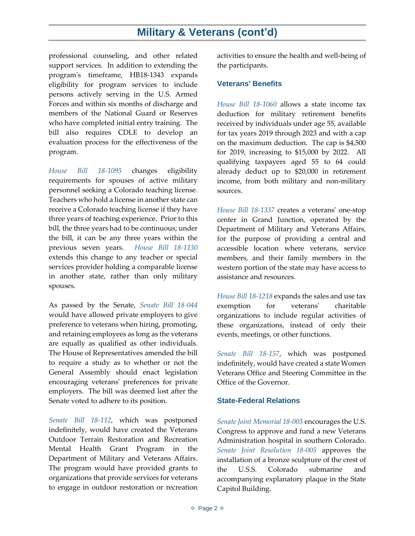### **Military & Veterans (cont'd)**

professional counseling, and other related support services. In addition to extending the program's timeframe, HB18-1343 expands eligibility for program services to include persons actively serving in the U.S. Armed Forces and within six months of discharge and members of the National Guard or Reserves who have completed initial entry training. The bill also requires CDLE to develop an evaluation process for the effectiveness of the program.

*[House Bill 18-1095](https://leg.colorado.gov/bills/hb18-1095)* changes eligibility requirements for spouses of active military personnel seeking a Colorado teaching license. Teachers who hold a license in another state can receive a Colorado teaching license if they have three years of teaching experience. Prior to this bill, the three years had to be continuous; under the bill, it can be any three years within the previous seven years. *[House Bill 18-1130](https://leg.colorado.gov/bills/hb18-1130)* extends this change to any teacher or special services provider holding a comparable license in another state, rather than only military spouses.

As passed by the Senate, *[Senate Bill 18-044](https://leg.colorado.gov/bills/sb18-044)* would have allowed private employers to give preference to veterans when hiring, promoting, and retaining employees as long as the veterans are equally as qualified as other individuals. The House of Representatives amended the bill to require a study as to whether or not the General Assembly should enact legislation encouraging veterans' preferences for private employers. The bill was deemed lost after the Senate voted to adhere to its position.

*[Senate Bill 18-112](https://leg.colorado.gov/bills/sb18-112)*, which was postponed indefinitely, would have created the Veterans Outdoor Terrain Restoration and Recreation Mental Health Grant Program in the Department of Military and Veterans Affairs. The program would have provided grants to organizations that provide services for veterans to engage in outdoor restoration or recreation activities to ensure the health and well-being of the participants.

#### **Veterans' Benefits**

*[House Bill 18-1060](http://leg.colorado.gov/bills/hb18-1060)* allows a state income tax deduction for military retirement benefits received by individuals under age 55, available for tax years 2019 through 2023 and with a cap on the maximum deduction. The cap is \$4,500 for 2019, increasing to \$15,000 by 2022. All qualifying taxpayers aged 55 to 64 could already deduct up to \$20,000 in retirement income, from both military and non-military sources.

*[House Bill 18-1337](http://leg.colorado.gov/bills/hb18-1337)* creates a veterans' one-stop center in Grand Junction, operated by the Department of Military and Veterans Affairs, for the purpose of providing a central and accessible location where veterans, service members, and their family members in the western portion of the state may have access to assistance and resources.

*[House Bill 18-1218](http://leg.colorado.gov/bills/hb18-1218)* expands the sales and use tax exemption for veterans' charitable organizations to include regular activities of these organizations, instead of only their events, meetings, or other functions.

*Senate [Bill 18-157](http://leg.colorado.gov/bills/sb18-157)*, which was postponed indefinitely, would have created a state Women Veterans Office and Steering Committee in the Office of the Governor.

#### **State-Federal Relations**

*[Senate Joint Memorial 18-003](http://leg.colorado.gov/bills/sjm18-003)* encourages the U.S. Congress to approve and fund a new Veterans Administration hospital in southern Colorado. *[Senate Joint Resolution 18-005](http://leg.colorado.gov/bills/sjr18-005)* approves the installation of a bronze sculpture of the crest of the U.S.S. Colorado submarine and accompanying explanatory plaque in the State Capitol Building.